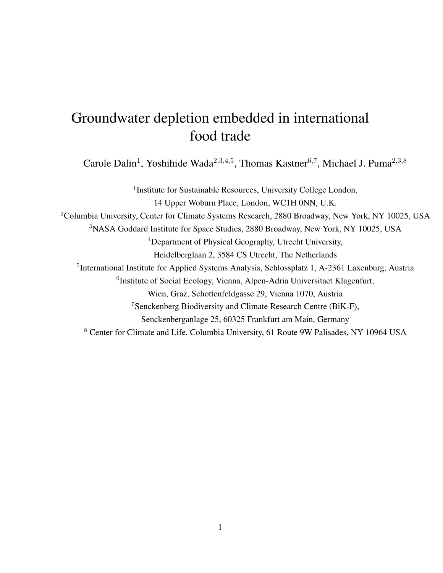# Groundwater depletion embedded in international food trade

Carole Dalin<sup>1</sup>, Yoshihide Wada<sup>2,3,4,5</sup>, Thomas Kastner<sup>6,7</sup>, Michael J. Puma<sup>2,3,8</sup>

<sup>1</sup> Institute for Sustainable Resources, University College London, 14 Upper Woburn Place, London, WC1H 0NN, U.K. <sup>2</sup>Columbia University, Center for Climate Systems Research, 2880 Broadway, New York, NY 10025, USA <sup>3</sup>NASA Goddard Institute for Space Studies, 2880 Broadway, New York, NY 10025, USA <sup>4</sup>Department of Physical Geography, Utrecht University, Heidelberglaan 2, 3584 CS Utrecht, The Netherlands <sup>5</sup>International Institute for Applied Systems Analysis, Schlossplatz 1, A-2361 Laxenburg, Austria <sup>6</sup>Institute of Social Ecology, Vienna, Alpen-Adria Universitaet Klagenfurt, Wien, Graz, Schottenfeldgasse 29, Vienna 1070, Austria <sup>7</sup>Senckenberg Biodiversity and Climate Research Centre (BiK-F), Senckenberganlage 25, 60325 Frankfurt am Main, Germany <sup>8</sup> Center for Climate and Life, Columbia University, 61 Route 9W Palisades, NY 10964 USA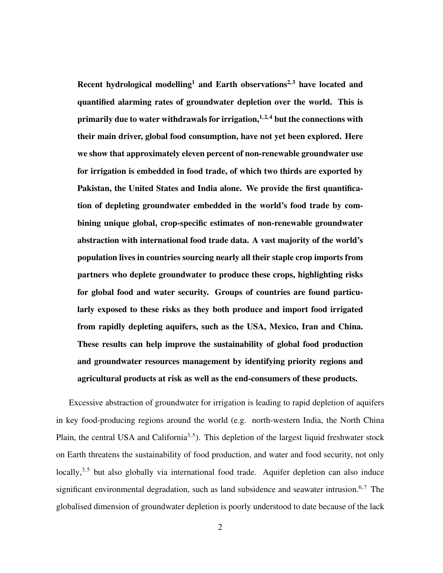Recent hydrological modelling<sup>1</sup> and Earth observations<sup>2,3</sup> have located and quantified alarming rates of groundwater depletion over the world. This is primarily due to water withdrawals for irrigation, $1, 2, 4$  but the connections with their main driver, global food consumption, have not yet been explored. Here we show that approximately eleven percent of non-renewable groundwater use for irrigation is embedded in food trade, of which two thirds are exported by Pakistan, the United States and India alone. We provide the first quantification of depleting groundwater embedded in the world's food trade by combining unique global, crop-specific estimates of non-renewable groundwater abstraction with international food trade data. A vast majority of the world's population lives in countries sourcing nearly all their staple crop imports from partners who deplete groundwater to produce these crops, highlighting risks for global food and water security. Groups of countries are found particularly exposed to these risks as they both produce and import food irrigated from rapidly depleting aquifers, such as the USA, Mexico, Iran and China. These results can help improve the sustainability of global food production and groundwater resources management by identifying priority regions and agricultural products at risk as well as the end-consumers of these products.

Excessive abstraction of groundwater for irrigation is leading to rapid depletion of aquifers in key food-producing regions around the world (e.g. north-western India, the North China Plain, the central USA and California<sup>3,5</sup>). This depletion of the largest liquid freshwater stock on Earth threatens the sustainability of food production, and water and food security, not only locally,<sup>3,5</sup> but also globally via international food trade. Aquifer depletion can also induce significant environmental degradation, such as land subsidence and seawater intrusion. $6,7$  The globalised dimension of groundwater depletion is poorly understood to date because of the lack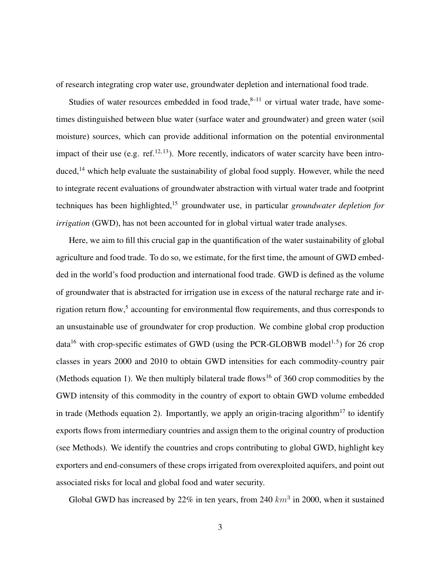of research integrating crop water use, groundwater depletion and international food trade.

Studies of water resources embedded in food trade, $8-11$  or virtual water trade, have sometimes distinguished between blue water (surface water and groundwater) and green water (soil moisture) sources, which can provide additional information on the potential environmental impact of their use (e.g. ref. $^{12, 13}$ ). More recently, indicators of water scarcity have been introduced, $14$  which help evaluate the sustainability of global food supply. However, while the need to integrate recent evaluations of groundwater abstraction with virtual water trade and footprint techniques has been highlighted,<sup>15</sup> groundwater use, in particular *groundwater depletion for irrigation* (GWD), has not been accounted for in global virtual water trade analyses.

Here, we aim to fill this crucial gap in the quantification of the water sustainability of global agriculture and food trade. To do so, we estimate, for the first time, the amount of GWD embedded in the world's food production and international food trade. GWD is defined as the volume of groundwater that is abstracted for irrigation use in excess of the natural recharge rate and irrigation return flow,<sup>5</sup> accounting for environmental flow requirements, and thus corresponds to an unsustainable use of groundwater for crop production. We combine global crop production data<sup>16</sup> with crop-specific estimates of GWD (using the PCR-GLOBWB model<sup>1,5</sup>) for 26 crop classes in years 2000 and 2010 to obtain GWD intensities for each commodity-country pair (Methods equation 1). We then multiply bilateral trade flows<sup>16</sup> of 360 crop commodities by the GWD intensity of this commodity in the country of export to obtain GWD volume embedded in trade (Methods equation 2). Importantly, we apply an origin-tracing algorithm<sup>17</sup> to identify exports flows from intermediary countries and assign them to the original country of production (see Methods). We identify the countries and crops contributing to global GWD, highlight key exporters and end-consumers of these crops irrigated from overexploited aquifers, and point out associated risks for local and global food and water security.

Global GWD has increased by 22% in ten years, from 240  $km^3$  in 2000, when it sustained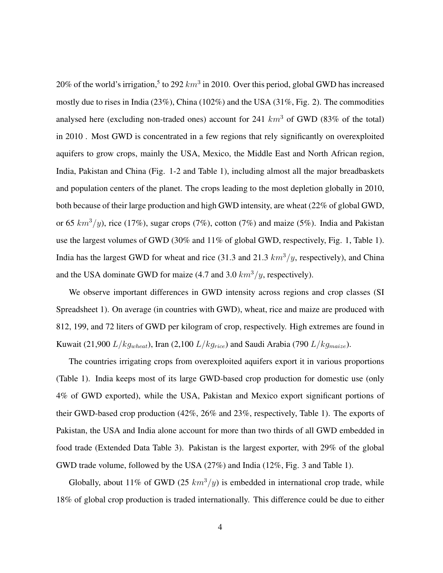20% of the world's irrigation,<sup>5</sup> to 292  $km^3$  in 2010. Over this period, global GWD has increased mostly due to rises in India (23%), China (102%) and the USA (31%, Fig. 2). The commodities analysed here (excluding non-traded ones) account for 241  $km^3$  of GWD (83% of the total) in 2010 . Most GWD is concentrated in a few regions that rely significantly on overexploited aquifers to grow crops, mainly the USA, Mexico, the Middle East and North African region, India, Pakistan and China (Fig. 1-2 and Table 1), including almost all the major breadbaskets and population centers of the planet. The crops leading to the most depletion globally in 2010, both because of their large production and high GWD intensity, are wheat (22% of global GWD, or 65  $km^3/y$ , rice (17%), sugar crops (7%), cotton (7%) and maize (5%). India and Pakistan use the largest volumes of GWD (30% and 11% of global GWD, respectively, Fig. 1, Table 1). India has the largest GWD for wheat and rice (31.3 and 21.3  $km^3/y$ , respectively), and China and the USA dominate GWD for maize (4.7 and 3.0  $km^3/y$ , respectively).

We observe important differences in GWD intensity across regions and crop classes (SI Spreadsheet 1). On average (in countries with GWD), wheat, rice and maize are produced with 812, 199, and 72 liters of GWD per kilogram of crop, respectively. High extremes are found in Kuwait (21,900  $L/kg_{wheat}$ ), Iran (2,100  $L/kg_{rice}$ ) and Saudi Arabia (790  $L/kg_{maize}$ ).

The countries irrigating crops from overexploited aquifers export it in various proportions (Table 1). India keeps most of its large GWD-based crop production for domestic use (only 4% of GWD exported), while the USA, Pakistan and Mexico export significant portions of their GWD-based crop production (42%, 26% and 23%, respectively, Table 1). The exports of Pakistan, the USA and India alone account for more than two thirds of all GWD embedded in food trade (Extended Data Table 3). Pakistan is the largest exporter, with 29% of the global GWD trade volume, followed by the USA (27%) and India (12%, Fig. 3 and Table 1).

Globally, about 11% of GWD (25  $km^3/y$ ) is embedded in international crop trade, while 18% of global crop production is traded internationally. This difference could be due to either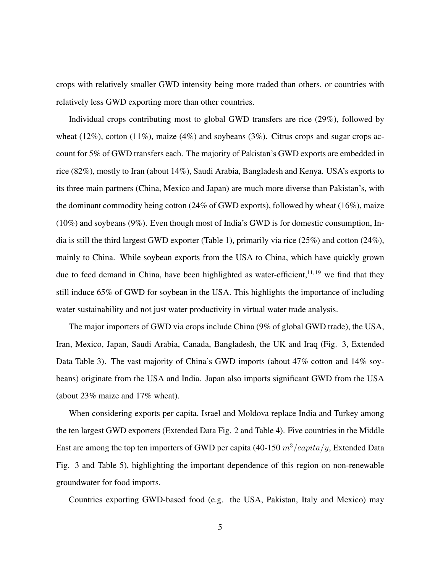crops with relatively smaller GWD intensity being more traded than others, or countries with relatively less GWD exporting more than other countries.

Individual crops contributing most to global GWD transfers are rice (29%), followed by wheat (12%), cotton (11%), maize (4%) and soybeans (3%). Citrus crops and sugar crops account for 5% of GWD transfers each. The majority of Pakistan's GWD exports are embedded in rice (82%), mostly to Iran (about 14%), Saudi Arabia, Bangladesh and Kenya. USA's exports to its three main partners (China, Mexico and Japan) are much more diverse than Pakistan's, with the dominant commodity being cotton (24% of GWD exports), followed by wheat (16%), maize (10%) and soybeans (9%). Even though most of India's GWD is for domestic consumption, India is still the third largest GWD exporter (Table 1), primarily via rice (25%) and cotton (24%), mainly to China. While soybean exports from the USA to China, which have quickly grown due to feed demand in China, have been highlighted as water-efficient, $11, 19$  we find that they still induce 65% of GWD for soybean in the USA. This highlights the importance of including water sustainability and not just water productivity in virtual water trade analysis.

The major importers of GWD via crops include China (9% of global GWD trade), the USA, Iran, Mexico, Japan, Saudi Arabia, Canada, Bangladesh, the UK and Iraq (Fig. 3, Extended Data Table 3). The vast majority of China's GWD imports (about 47% cotton and 14% soybeans) originate from the USA and India. Japan also imports significant GWD from the USA (about 23% maize and 17% wheat).

When considering exports per capita, Israel and Moldova replace India and Turkey among the ten largest GWD exporters (Extended Data Fig. 2 and Table 4). Five countries in the Middle East are among the top ten importers of GWD per capita (40-150  $m^3/capita/y$ , Extended Data Fig. 3 and Table 5), highlighting the important dependence of this region on non-renewable groundwater for food imports.

Countries exporting GWD-based food (e.g. the USA, Pakistan, Italy and Mexico) may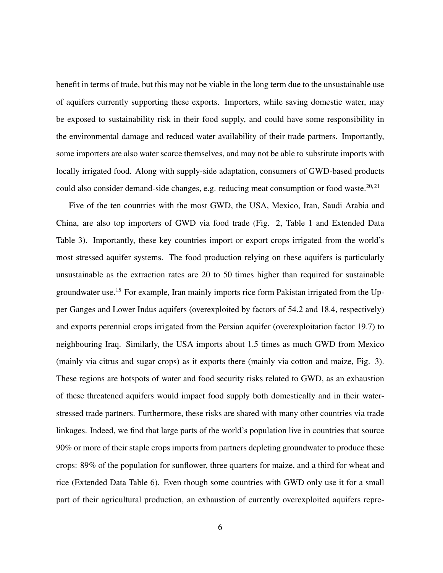benefit in terms of trade, but this may not be viable in the long term due to the unsustainable use of aquifers currently supporting these exports. Importers, while saving domestic water, may be exposed to sustainability risk in their food supply, and could have some responsibility in the environmental damage and reduced water availability of their trade partners. Importantly, some importers are also water scarce themselves, and may not be able to substitute imports with locally irrigated food. Along with supply-side adaptation, consumers of GWD-based products could also consider demand-side changes, e.g. reducing meat consumption or food waste.<sup>20, 21</sup>

Five of the ten countries with the most GWD, the USA, Mexico, Iran, Saudi Arabia and China, are also top importers of GWD via food trade (Fig. 2, Table 1 and Extended Data Table 3). Importantly, these key countries import or export crops irrigated from the world's most stressed aquifer systems. The food production relying on these aquifers is particularly unsustainable as the extraction rates are 20 to 50 times higher than required for sustainable groundwater use.<sup>15</sup> For example, Iran mainly imports rice form Pakistan irrigated from the Upper Ganges and Lower Indus aquifers (overexploited by factors of 54.2 and 18.4, respectively) and exports perennial crops irrigated from the Persian aquifer (overexploitation factor 19.7) to neighbouring Iraq. Similarly, the USA imports about 1.5 times as much GWD from Mexico (mainly via citrus and sugar crops) as it exports there (mainly via cotton and maize, Fig. 3). These regions are hotspots of water and food security risks related to GWD, as an exhaustion of these threatened aquifers would impact food supply both domestically and in their waterstressed trade partners. Furthermore, these risks are shared with many other countries via trade linkages. Indeed, we find that large parts of the world's population live in countries that source 90% or more of their staple crops imports from partners depleting groundwater to produce these crops: 89% of the population for sunflower, three quarters for maize, and a third for wheat and rice (Extended Data Table 6). Even though some countries with GWD only use it for a small part of their agricultural production, an exhaustion of currently overexploited aquifers repre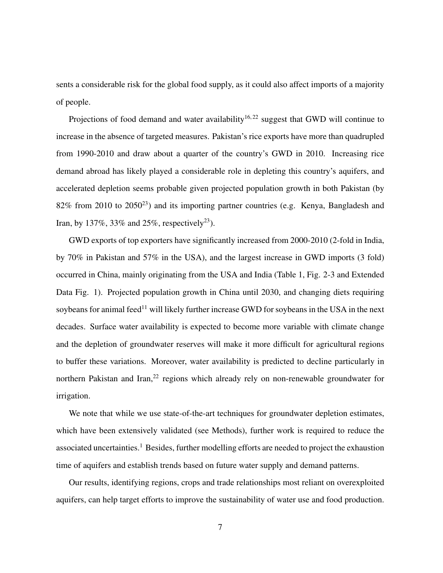sents a considerable risk for the global food supply, as it could also affect imports of a majority of people.

Projections of food demand and water availability<sup>16,22</sup> suggest that GWD will continue to increase in the absence of targeted measures. Pakistan's rice exports have more than quadrupled from 1990-2010 and draw about a quarter of the country's GWD in 2010. Increasing rice demand abroad has likely played a considerable role in depleting this country's aquifers, and accelerated depletion seems probable given projected population growth in both Pakistan (by  $82\%$  from 2010 to  $2050^{23}$ ) and its importing partner countries (e.g. Kenya, Bangladesh and Iran, by 137%, 33% and 25%, respectively<sup>23</sup>).

GWD exports of top exporters have significantly increased from 2000-2010 (2-fold in India, by 70% in Pakistan and 57% in the USA), and the largest increase in GWD imports (3 fold) occurred in China, mainly originating from the USA and India (Table 1, Fig. 2-3 and Extended Data Fig. 1). Projected population growth in China until 2030, and changing diets requiring soybeans for animal feed<sup>11</sup> will likely further increase GWD for soybeans in the USA in the next decades. Surface water availability is expected to become more variable with climate change and the depletion of groundwater reserves will make it more difficult for agricultural regions to buffer these variations. Moreover, water availability is predicted to decline particularly in northern Pakistan and Iran,<sup>22</sup> regions which already rely on non-renewable groundwater for irrigation.

We note that while we use state-of-the-art techniques for groundwater depletion estimates, which have been extensively validated (see Methods), further work is required to reduce the associated uncertainties.<sup>1</sup> Besides, further modelling efforts are needed to project the exhaustion time of aquifers and establish trends based on future water supply and demand patterns.

Our results, identifying regions, crops and trade relationships most reliant on overexploited aquifers, can help target efforts to improve the sustainability of water use and food production.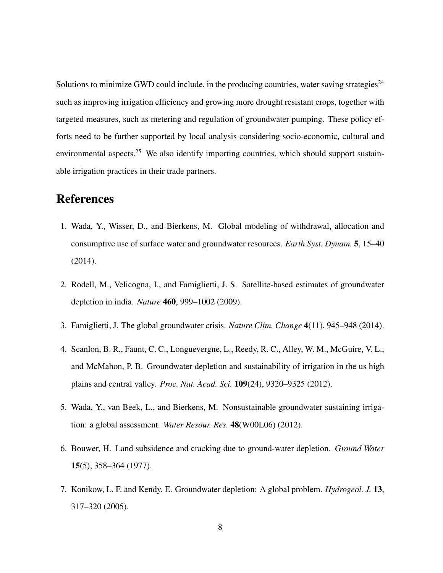Solutions to minimize GWD could include, in the producing countries, water saving strategies<sup>24</sup> such as improving irrigation efficiency and growing more drought resistant crops, together with targeted measures, such as metering and regulation of groundwater pumping. These policy efforts need to be further supported by local analysis considering socio-economic, cultural and environmental aspects.<sup>25</sup> We also identify importing countries, which should support sustainable irrigation practices in their trade partners.

## **References**

- 1. Wada, Y., Wisser, D., and Bierkens, M. Global modeling of withdrawal, allocation and consumptive use of surface water and groundwater resources. *Earth Syst. Dynam.* 5, 15–40 (2014).
- 2. Rodell, M., Velicogna, I., and Famiglietti, J. S. Satellite-based estimates of groundwater depletion in india. *Nature* 460, 999–1002 (2009).
- 3. Famiglietti, J. The global groundwater crisis. *Nature Clim. Change* 4(11), 945–948 (2014).
- 4. Scanlon, B. R., Faunt, C. C., Longuevergne, L., Reedy, R. C., Alley, W. M., McGuire, V. L., and McMahon, P. B. Groundwater depletion and sustainability of irrigation in the us high plains and central valley. *Proc. Nat. Acad. Sci.* 109(24), 9320–9325 (2012).
- 5. Wada, Y., van Beek, L., and Bierkens, M. Nonsustainable groundwater sustaining irrigation: a global assessment. *Water Resour. Res.* 48(W00L06) (2012).
- 6. Bouwer, H. Land subsidence and cracking due to ground-water depletion. *Ground Water* 15(5), 358–364 (1977).
- 7. Konikow, L. F. and Kendy, E. Groundwater depletion: A global problem. *Hydrogeol. J.* 13, 317–320 (2005).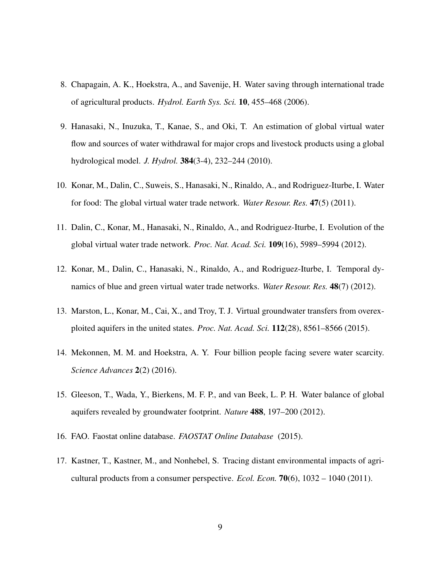- 8. Chapagain, A. K., Hoekstra, A., and Savenije, H. Water saving through international trade of agricultural products. *Hydrol. Earth Sys. Sci.* 10, 455–468 (2006).
- 9. Hanasaki, N., Inuzuka, T., Kanae, S., and Oki, T. An estimation of global virtual water flow and sources of water withdrawal for major crops and livestock products using a global hydrological model. *J. Hydrol.* 384(3-4), 232–244 (2010).
- 10. Konar, M., Dalin, C., Suweis, S., Hanasaki, N., Rinaldo, A., and Rodriguez-Iturbe, I. Water for food: The global virtual water trade network. *Water Resour. Res.* 47(5) (2011).
- 11. Dalin, C., Konar, M., Hanasaki, N., Rinaldo, A., and Rodriguez-Iturbe, I. Evolution of the global virtual water trade network. *Proc. Nat. Acad. Sci.* 109(16), 5989–5994 (2012).
- 12. Konar, M., Dalin, C., Hanasaki, N., Rinaldo, A., and Rodriguez-Iturbe, I. Temporal dynamics of blue and green virtual water trade networks. *Water Resour. Res.* 48(7) (2012).
- 13. Marston, L., Konar, M., Cai, X., and Troy, T. J. Virtual groundwater transfers from overexploited aquifers in the united states. *Proc. Nat. Acad. Sci.* 112(28), 8561–8566 (2015).
- 14. Mekonnen, M. M. and Hoekstra, A. Y. Four billion people facing severe water scarcity. *Science Advances* 2(2) (2016).
- 15. Gleeson, T., Wada, Y., Bierkens, M. F. P., and van Beek, L. P. H. Water balance of global aquifers revealed by groundwater footprint. *Nature* 488, 197–200 (2012).
- 16. FAO. Faostat online database. *FAOSTAT Online Database* (2015).
- 17. Kastner, T., Kastner, M., and Nonhebel, S. Tracing distant environmental impacts of agricultural products from a consumer perspective. *Ecol. Econ.* 70(6), 1032 – 1040 (2011).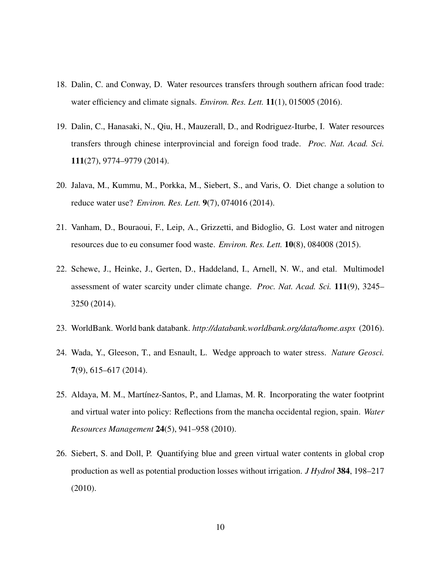- 18. Dalin, C. and Conway, D. Water resources transfers through southern african food trade: water efficiency and climate signals. *Environ. Res. Lett.* 11(1), 015005 (2016).
- 19. Dalin, C., Hanasaki, N., Qiu, H., Mauzerall, D., and Rodriguez-Iturbe, I. Water resources transfers through chinese interprovincial and foreign food trade. *Proc. Nat. Acad. Sci.* 111(27), 9774–9779 (2014).
- 20. Jalava, M., Kummu, M., Porkka, M., Siebert, S., and Varis, O. Diet change a solution to reduce water use? *Environ. Res. Lett.* 9(7), 074016 (2014).
- 21. Vanham, D., Bouraoui, F., Leip, A., Grizzetti, and Bidoglio, G. Lost water and nitrogen resources due to eu consumer food waste. *Environ. Res. Lett.* 10(8), 084008 (2015).
- 22. Schewe, J., Heinke, J., Gerten, D., Haddeland, I., Arnell, N. W., and etal. Multimodel assessment of water scarcity under climate change. *Proc. Nat. Acad. Sci.* 111(9), 3245– 3250 (2014).
- 23. WorldBank. World bank databank. *http://databank.worldbank.org/data/home.aspx* (2016).
- 24. Wada, Y., Gleeson, T., and Esnault, L. Wedge approach to water stress. *Nature Geosci.* 7(9), 615–617 (2014).
- 25. Aldaya, M. M., Martínez-Santos, P., and Llamas, M. R. Incorporating the water footprint and virtual water into policy: Reflections from the mancha occidental region, spain. *Water Resources Management* 24(5), 941–958 (2010).
- 26. Siebert, S. and Doll, P. Quantifying blue and green virtual water contents in global crop production as well as potential production losses without irrigation. *J Hydrol* 384, 198–217 (2010).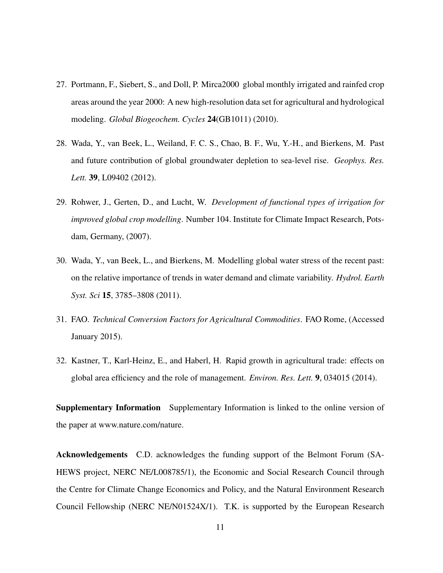- 27. Portmann, F., Siebert, S., and Doll, P. Mirca2000 global monthly irrigated and rainfed crop areas around the year 2000: A new high-resolution data set for agricultural and hydrological modeling. *Global Biogeochem. Cycles* 24(GB1011) (2010).
- 28. Wada, Y., van Beek, L., Weiland, F. C. S., Chao, B. F., Wu, Y.-H., and Bierkens, M. Past and future contribution of global groundwater depletion to sea-level rise. *Geophys. Res. Lett.* 39, L09402 (2012).
- 29. Rohwer, J., Gerten, D., and Lucht, W. *Development of functional types of irrigation for improved global crop modelling*. Number 104. Institute for Climate Impact Research, Potsdam, Germany, (2007).
- 30. Wada, Y., van Beek, L., and Bierkens, M. Modelling global water stress of the recent past: on the relative importance of trends in water demand and climate variability. *Hydrol. Earth Syst. Sci* 15, 3785–3808 (2011).
- 31. FAO. *Technical Conversion Factors for Agricultural Commodities*. FAO Rome, (Accessed January 2015).
- 32. Kastner, T., Karl-Heinz, E., and Haberl, H. Rapid growth in agricultural trade: effects on global area efficiency and the role of management. *Environ. Res. Lett.* 9, 034015 (2014).

Supplementary Information Supplementary Information is linked to the online version of the paper at www.nature.com/nature.

Acknowledgements C.D. acknowledges the funding support of the Belmont Forum (SA-HEWS project, NERC NE/L008785/1), the Economic and Social Research Council through the Centre for Climate Change Economics and Policy, and the Natural Environment Research Council Fellowship (NERC NE/N01524X/1). T.K. is supported by the European Research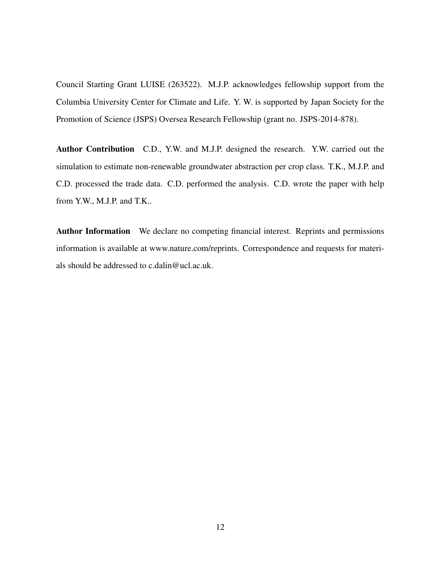Council Starting Grant LUISE (263522). M.J.P. acknowledges fellowship support from the Columbia University Center for Climate and Life. Y. W. is supported by Japan Society for the Promotion of Science (JSPS) Oversea Research Fellowship (grant no. JSPS-2014-878).

Author Contribution C.D., Y.W. and M.J.P. designed the research. Y.W. carried out the simulation to estimate non-renewable groundwater abstraction per crop class. T.K., M.J.P. and C.D. processed the trade data. C.D. performed the analysis. C.D. wrote the paper with help from Y.W., M.J.P. and T.K..

Author Information We declare no competing financial interest. Reprints and permissions information is available at www.nature.com/reprints. Correspondence and requests for materials should be addressed to c.dalin@ucl.ac.uk.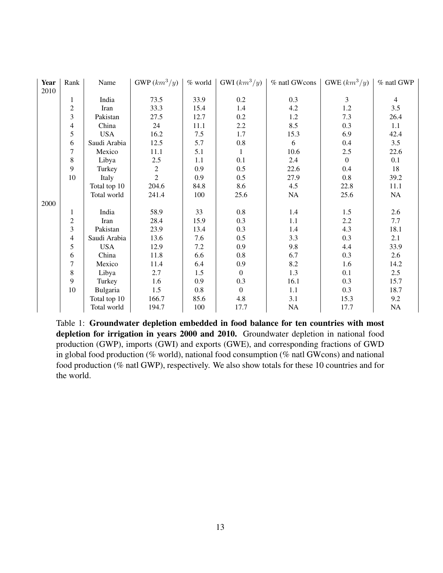| <b>Year</b> | Rank                    | Name         | $GWP(km^3/y)$  | $%$ world | GWI $(km^3/y)$   | % natl GWcons | GWE $(km^3/y)$ | % natl GWP |
|-------------|-------------------------|--------------|----------------|-----------|------------------|---------------|----------------|------------|
| 2010        |                         |              |                |           |                  |               |                |            |
|             | 1                       | India        | 73.5           | 33.9      | $0.2\,$          | 0.3           | $\mathfrak{Z}$ | 4          |
|             | $\overline{\mathbf{c}}$ | Iran         | 33.3           | 15.4      | 1.4              | 4.2           | 1.2            | 3.5        |
|             | $\overline{\mathbf{3}}$ | Pakistan     | 27.5           | 12.7      | 0.2              | 1.2           | 7.3            | 26.4       |
|             | 4                       | China        | 24             | 11.1      | 2.2              | 8.5           | 0.3            | 1.1        |
|             | 5                       | <b>USA</b>   | 16.2           | 7.5       | 1.7              | 15.3          | 6.9            | 42.4       |
|             | 6                       | Saudi Arabia | 12.5           | 5.7       | $0.8\,$          | 6             | $0.4\,$        | 3.5        |
|             | 7                       | Mexico       | 11.1           | 5.1       | 1                | 10.6          | 2.5            | 22.6       |
|             | 8                       | Libya        | 2.5            | 1.1       | 0.1              | 2.4           | $\theta$       | 0.1        |
|             | 9                       | Turkey       | $\overline{c}$ | 0.9       | 0.5              | 22.6          | 0.4            | 18         |
|             | 10                      | Italy        | $\overline{2}$ | 0.9       | 0.5              | 27.9          | 0.8            | 39.2       |
|             |                         | Total top 10 | 204.6          | 84.8      | 8.6              | 4.5           | 22.8           | 11.1       |
|             |                         | Total world  | 241.4          | 100       | 25.6             | NA            | 25.6           | <b>NA</b>  |
| 2000        |                         |              |                |           |                  |               |                |            |
|             | 1                       | India        | 58.9           | 33        | 0.8              | 1.4           | 1.5            | 2.6        |
|             | $\overline{c}$          | Iran         | 28.4           | 15.9      | 0.3              | 1.1           | 2.2            | 7.7        |
|             | 3                       | Pakistan     | 23.9           | 13.4      | 0.3              | 1.4           | 4.3            | 18.1       |
|             | 4                       | Saudi Arabia | 13.6           | 7.6       | 0.5              | 3.3           | 0.3            | 2.1        |
|             | 5                       | <b>USA</b>   | 12.9           | 7.2       | 0.9              | 9.8           | 4.4            | 33.9       |
|             | 6                       | China        | 11.8           | 6.6       | $0.8\,$          | 6.7           | 0.3            | 2.6        |
|             | 7                       | Mexico       | 11.4           | 6.4       | 0.9              | 8.2           | 1.6            | 14.2       |
|             | 8                       | Libya        | 2.7            | 1.5       | $\overline{0}$   | 1.3           | 0.1            | 2.5        |
|             | 9                       | Turkey       | 1.6            | 0.9       | 0.3              | 16.1          | 0.3            | 15.7       |
|             | 10                      | Bulgaria     | 1.5            | 0.8       | $\boldsymbol{0}$ | 1.1           | 0.3            | 18.7       |
|             |                         | Total top 10 | 166.7          | 85.6      | 4.8              | 3.1           | 15.3           | 9.2        |
|             |                         | Total world  | 194.7          | 100       | 17.7             | <b>NA</b>     | 17.7           | <b>NA</b>  |

Table 1: Groundwater depletion embedded in food balance for ten countries with most depletion for irrigation in years 2000 and 2010. Groundwater depletion in national food production (GWP), imports (GWI) and exports (GWE), and corresponding fractions of GWD in global food production (% world), national food consumption (% natl GWcons) and national food production (% natl GWP), respectively. We also show totals for these 10 countries and for the world.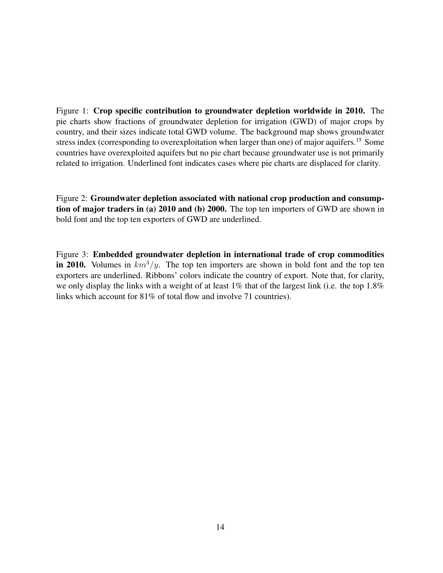Figure 1: Crop specific contribution to groundwater depletion worldwide in 2010. The pie charts show fractions of groundwater depletion for irrigation (GWD) of major crops by country, and their sizes indicate total GWD volume. The background map shows groundwater stress index (corresponding to overexploitation when larger than one) of major aquifers.<sup>15</sup> Some countries have overexploited aquifers but no pie chart because groundwater use is not primarily related to irrigation. Underlined font indicates cases where pie charts are displaced for clarity.

Figure 2: Groundwater depletion associated with national crop production and consumption of major traders in (a) 2010 and (b) 2000. The top ten importers of GWD are shown in bold font and the top ten exporters of GWD are underlined.

Figure 3: Embedded groundwater depletion in international trade of crop commodities in 2010. Volumes in  $km^3/y$ . The top ten importers are shown in bold font and the top ten exporters are underlined. Ribbons' colors indicate the country of export. Note that, for clarity, we only display the links with a weight of at least 1% that of the largest link (i.e. the top 1.8% links which account for 81% of total flow and involve 71 countries).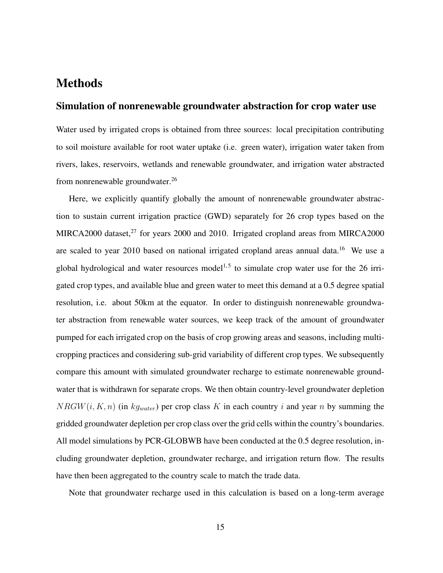## **Methods**

#### Simulation of nonrenewable groundwater abstraction for crop water use

Water used by irrigated crops is obtained from three sources: local precipitation contributing to soil moisture available for root water uptake (i.e. green water), irrigation water taken from rivers, lakes, reservoirs, wetlands and renewable groundwater, and irrigation water abstracted from nonrenewable groundwater.<sup>26</sup>

Here, we explicitly quantify globally the amount of nonrenewable groundwater abstraction to sustain current irrigation practice (GWD) separately for 26 crop types based on the MIRCA2000 dataset, $^{27}$  for years 2000 and 2010. Irrigated cropland areas from MIRCA2000 are scaled to year 2010 based on national irrigated cropland areas annual data.<sup>16</sup> We use a global hydrological and water resources model<sup>1,5</sup> to simulate crop water use for the 26 irrigated crop types, and available blue and green water to meet this demand at a 0.5 degree spatial resolution, i.e. about 50km at the equator. In order to distinguish nonrenewable groundwater abstraction from renewable water sources, we keep track of the amount of groundwater pumped for each irrigated crop on the basis of crop growing areas and seasons, including multicropping practices and considering sub-grid variability of different crop types. We subsequently compare this amount with simulated groundwater recharge to estimate nonrenewable groundwater that is withdrawn for separate crops. We then obtain country-level groundwater depletion  $NRGW(i, K, n)$  (in  $kg_{water}$ ) per crop class K in each country i and year n by summing the gridded groundwater depletion per crop class over the grid cells within the country's boundaries. All model simulations by PCR-GLOBWB have been conducted at the 0.5 degree resolution, including groundwater depletion, groundwater recharge, and irrigation return flow. The results have then been aggregated to the country scale to match the trade data.

Note that groundwater recharge used in this calculation is based on a long-term average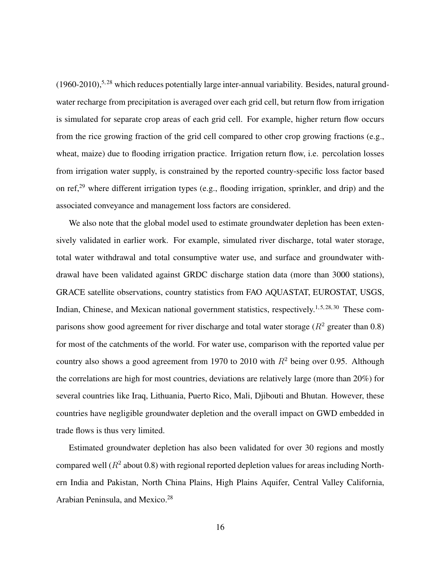$(1960-2010)$ ,<sup>5,28</sup> which reduces potentially large inter-annual variability. Besides, natural groundwater recharge from precipitation is averaged over each grid cell, but return flow from irrigation is simulated for separate crop areas of each grid cell. For example, higher return flow occurs from the rice growing fraction of the grid cell compared to other crop growing fractions (e.g., wheat, maize) due to flooding irrigation practice. Irrigation return flow, i.e. percolation losses from irrigation water supply, is constrained by the reported country-specific loss factor based on ref,<sup>29</sup> where different irrigation types (e.g., flooding irrigation, sprinkler, and drip) and the associated conveyance and management loss factors are considered.

We also note that the global model used to estimate groundwater depletion has been extensively validated in earlier work. For example, simulated river discharge, total water storage, total water withdrawal and total consumptive water use, and surface and groundwater withdrawal have been validated against GRDC discharge station data (more than 3000 stations), GRACE satellite observations, country statistics from FAO AQUASTAT, EUROSTAT, USGS, Indian, Chinese, and Mexican national government statistics, respectively.<sup>1,5,28,30</sup> These comparisons show good agreement for river discharge and total water storage ( $R^2$  greater than 0.8) for most of the catchments of the world. For water use, comparison with the reported value per country also shows a good agreement from 1970 to 2010 with  $R^2$  being over 0.95. Although the correlations are high for most countries, deviations are relatively large (more than 20%) for several countries like Iraq, Lithuania, Puerto Rico, Mali, Djibouti and Bhutan. However, these countries have negligible groundwater depletion and the overall impact on GWD embedded in trade flows is thus very limited.

Estimated groundwater depletion has also been validated for over 30 regions and mostly compared well ( $R^2$  about 0.8) with regional reported depletion values for areas including Northern India and Pakistan, North China Plains, High Plains Aquifer, Central Valley California, Arabian Peninsula, and Mexico.<sup>28</sup>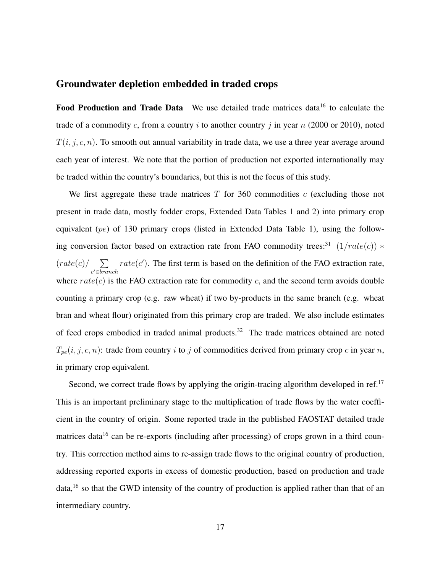#### Groundwater depletion embedded in traded crops

Food Production and Trade Data We use detailed trade matrices data<sup>16</sup> to calculate the trade of a commodity c, from a country i to another country j in year  $n$  (2000 or 2010), noted  $T(i, j, c, n)$ . To smooth out annual variability in trade data, we use a three year average around each year of interest. We note that the portion of production not exported internationally may be traded within the country's boundaries, but this is not the focus of this study.

We first aggregate these trade matrices  $T$  for 360 commodities  $c$  (excluding those not present in trade data, mostly fodder crops, Extended Data Tables 1 and 2) into primary crop equivalent (pe) of 130 primary crops (listed in Extended Data Table 1), using the following conversion factor based on extraction rate from FAO commodity trees:<sup>31</sup>  $(1/rate(c))$  \*  $(rate(c)/\sum$ c <sup>0</sup>∈branch  $rate(c')$ . The first term is based on the definition of the FAO extraction rate, where  $rate(c)$  is the FAO extraction rate for commodity c, and the second term avoids double counting a primary crop (e.g. raw wheat) if two by-products in the same branch (e.g. wheat bran and wheat flour) originated from this primary crop are traded. We also include estimates of feed crops embodied in traded animal products.<sup>32</sup> The trade matrices obtained are noted  $T_{pe}(i, j, c, n)$ : trade from country i to j of commodities derived from primary crop c in year n, in primary crop equivalent.

Second, we correct trade flows by applying the origin-tracing algorithm developed in ref.<sup>17</sup> This is an important preliminary stage to the multiplication of trade flows by the water coefficient in the country of origin. Some reported trade in the published FAOSTAT detailed trade matrices data<sup>16</sup> can be re-exports (including after processing) of crops grown in a third country. This correction method aims to re-assign trade flows to the original country of production, addressing reported exports in excess of domestic production, based on production and trade data,<sup>16</sup> so that the GWD intensity of the country of production is applied rather than that of an intermediary country.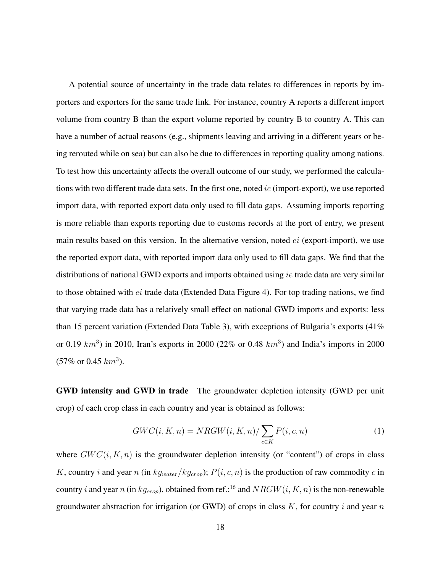A potential source of uncertainty in the trade data relates to differences in reports by importers and exporters for the same trade link. For instance, country A reports a different import volume from country B than the export volume reported by country B to country A. This can have a number of actual reasons (e.g., shipments leaving and arriving in a different years or being rerouted while on sea) but can also be due to differences in reporting quality among nations. To test how this uncertainty affects the overall outcome of our study, we performed the calculations with two different trade data sets. In the first one, noted *ie* (import-export), we use reported import data, with reported export data only used to fill data gaps. Assuming imports reporting is more reliable than exports reporting due to customs records at the port of entry, we present main results based on this version. In the alternative version, noted  $ei$  (export-import), we use the reported export data, with reported import data only used to fill data gaps. We find that the distributions of national GWD exports and imports obtained using ie trade data are very similar to those obtained with  $ei$  trade data (Extended Data Figure 4). For top trading nations, we find that varying trade data has a relatively small effect on national GWD imports and exports: less than 15 percent variation (Extended Data Table 3), with exceptions of Bulgaria's exports  $(41\%$ or 0.19  $km^3$ ) in 2010, Iran's exports in 2000 (22% or 0.48  $km^3$ ) and India's imports in 2000  $(57\% \text{ or } 0.45 \text{ km}^3).$ 

GWD intensity and GWD in trade The groundwater depletion intensity (GWD per unit crop) of each crop class in each country and year is obtained as follows:

$$
GWC(i, K, n) = NRGW(i, K, n) / \sum_{c \in K} P(i, c, n)
$$
\n<sup>(1)</sup>

where  $GWC(i, K, n)$  is the groundwater depletion intensity (or "content") of crops in class K, country i and year n (in  $kg_{water}/kg_{crop}$ );  $P(i, c, n)$  is the production of raw commodity c in country i and year n (in  $kg_{\text{crop}}$ ), obtained from ref.;<sup>16</sup> and  $NRGW(i, K, n)$  is the non-renewable groundwater abstraction for irrigation (or GWD) of crops in class  $K$ , for country i and year n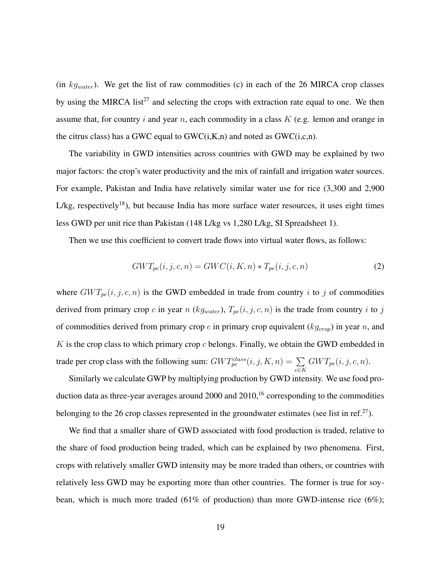(in  $kg_{water}$ ). We get the list of raw commodities (c) in each of the 26 MIRCA crop classes by using the MIRCA list<sup>27</sup> and selecting the crops with extraction rate equal to one. We then assume that, for country  $i$  and year  $n$ , each commodity in a class  $K$  (e.g. lemon and orange in the citrus class) has a GWC equal to  $GWC(i,K,n)$  and noted as  $GWC(i,c,n)$ .

The variability in GWD intensities across countries with GWD may be explained by two major factors: the crop's water productivity and the mix of rainfall and irrigation water sources. For example, Pakistan and India have relatively similar water use for rice (3,300 and 2,900  $L/kg$ , respectively<sup>18</sup>), but because India has more surface water resources, it uses eight times less GWD per unit rice than Pakistan (148 L/kg vs 1,280 L/kg, SI Spreadsheet 1).

Then we use this coefficient to convert trade flows into virtual water flows, as follows:

$$
GWT_{pe}(i, j, c, n) = GWC(i, K, n) * T_{pe}(i, j, c, n)
$$
\n
$$
(2)
$$

where  $GWT_{pe}(i, j, c, n)$  is the GWD embedded in trade from country i to j of commodities derived from primary crop c in year n ( $kg_{water}$ ),  $T_{pe}(i, j, c, n)$  is the trade from country i to j of commodities derived from primary crop  $c$  in primary crop equivalent ( $kg_{crop}$ ) in year n, and  $K$  is the crop class to which primary crop  $c$  belongs. Finally, we obtain the GWD embedded in trade per crop class with the following sum:  $GWT_{pe}^{class}(i, j, K, n) = \sum_{c \in K}$  $GWT_{pe}(i, j, c, n).$ 

Similarly we calculate GWP by multiplying production by GWD intensity. We use food production data as three-year averages around 2000 and 2010,<sup>16</sup> corresponding to the commodities belonging to the 26 crop classes represented in the groundwater estimates (see list in ref.<sup>27</sup>).

We find that a smaller share of GWD associated with food production is traded, relative to the share of food production being traded, which can be explained by two phenomena. First, crops with relatively smaller GWD intensity may be more traded than others, or countries with relatively less GWD may be exporting more than other countries. The former is true for soybean, which is much more traded (61% of production) than more GWD-intense rice (6%);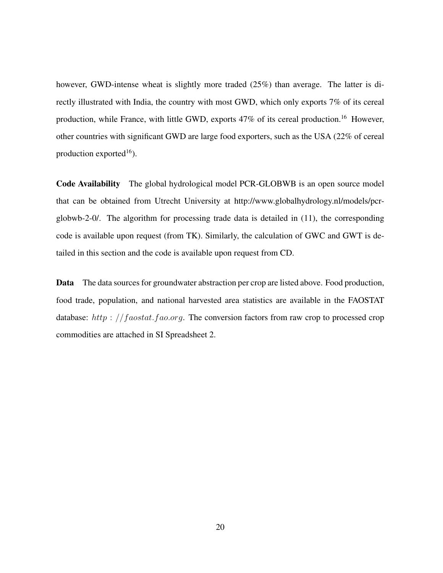however, GWD-intense wheat is slightly more traded (25%) than average. The latter is directly illustrated with India, the country with most GWD, which only exports 7% of its cereal production, while France, with little GWD, exports 47% of its cereal production.<sup>16</sup> However, other countries with significant GWD are large food exporters, such as the USA (22% of cereal production exported<sup>16</sup>).

Code Availability The global hydrological model PCR-GLOBWB is an open source model that can be obtained from Utrecht University at http://www.globalhydrology.nl/models/pcrglobwb-2-0/. The algorithm for processing trade data is detailed in (11), the corresponding code is available upon request (from TK). Similarly, the calculation of GWC and GWT is detailed in this section and the code is available upon request from CD.

Data The data sources for groundwater abstraction per crop are listed above. Food production, food trade, population, and national harvested area statistics are available in the FAOSTAT database: http://faostat.fao.org. The conversion factors from raw crop to processed crop commodities are attached in SI Spreadsheet 2.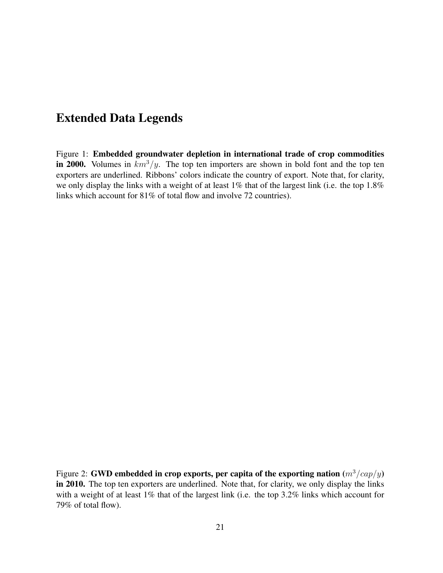# Extended Data Legends

Figure 1: Embedded groundwater depletion in international trade of crop commodities in 2000. Volumes in  $km^3/y$ . The top ten importers are shown in bold font and the top ten exporters are underlined. Ribbons' colors indicate the country of export. Note that, for clarity, we only display the links with a weight of at least 1% that of the largest link (i.e. the top 1.8% links which account for 81% of total flow and involve 72 countries).

Figure 2: GWD embedded in crop exports, per capita of the exporting nation  $(m^3/cap/y)$ in 2010. The top ten exporters are underlined. Note that, for clarity, we only display the links with a weight of at least 1% that of the largest link (i.e. the top 3.2% links which account for 79% of total flow).